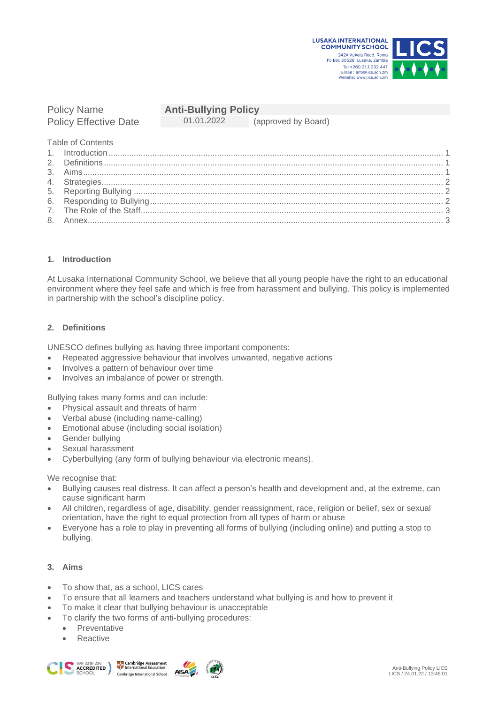



# Policy Effective Date 01.01.2022 (approved by Board)

## Policy Name **Anti-Bullying Policy**

Table of Contents

| Example of the State of the State of the State of the State of the State of the State of the State of the State of the State of the State of the State of the State of the State of the State of the State of the State of the |  |
|--------------------------------------------------------------------------------------------------------------------------------------------------------------------------------------------------------------------------------|--|
|                                                                                                                                                                                                                                |  |

## <span id="page-0-0"></span>**1. Introduction**

At Lusaka International Community School, we believe that all young people have the right to an educational environment where they feel safe and which is free from harassment and bullying. This policy is implemented in partnership with the school's discipline policy.

## <span id="page-0-1"></span>**2. Definitions**

UNESCO defines bullying as having three important components:

- Repeated aggressive behaviour that involves unwanted, negative actions
- Involves a pattern of behaviour over time
- Involves an imbalance of power or strength.

Bullying takes many forms and can include:

- Physical assault and threats of harm
- Verbal abuse (including name-calling)
- Emotional abuse (including social isolation)
- Gender bullving
- Sexual harassment
- Cyberbullying (any form of bullying behaviour via electronic means).

We recognise that:

- Bullying causes real distress. It can affect a person's health and development and, at the extreme, can cause significant harm
- All children, regardless of age, disability, gender reassignment, race, religion or belief, sex or sexual orientation, have the right to equal protection from all types of harm or abuse
- Everyone has a role to play in preventing all forms of bullying (including online) and putting a stop to bullying.

# <span id="page-0-2"></span>**3. Aims**

- To show that, as a school, LICS cares
- To ensure that all learners and teachers understand what bullying is and how to prevent it
- To make it clear that bullying behaviour is unacceptable
- To clarify the two forms of anti-bullying procedures:
	- Preventative
	- Reactive







**AISA**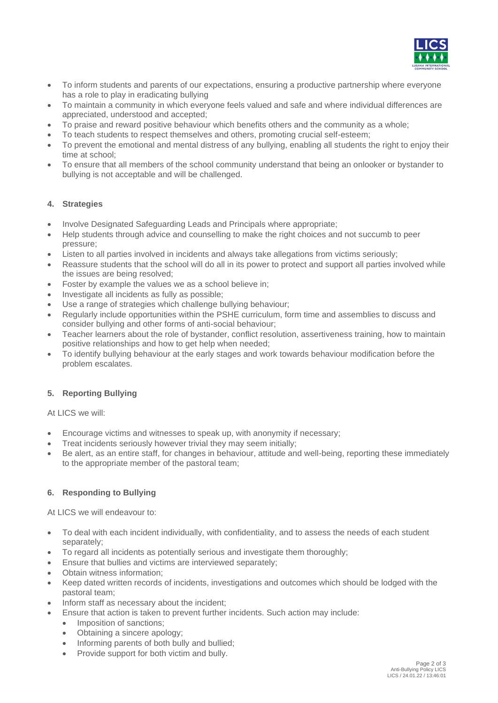

- To inform students and parents of our expectations, ensuring a productive partnership where everyone has a role to play in eradicating bullying
- To maintain a community in which everyone feels valued and safe and where individual differences are appreciated, understood and accepted;
- To praise and reward positive behaviour which benefits others and the community as a whole;
- To teach students to respect themselves and others, promoting crucial self-esteem;
- To prevent the emotional and mental distress of any bullying, enabling all students the right to enjoy their time at school;
- To ensure that all members of the school community understand that being an onlooker or bystander to bullying is not acceptable and will be challenged.

#### <span id="page-1-0"></span>**4. Strategies**

- Involve Designated Safeguarding Leads and Principals where appropriate;
- Help students through advice and counselling to make the right choices and not succumb to peer pressure;
- Listen to all parties involved in incidents and always take allegations from victims seriously;
- Reassure students that the school will do all in its power to protect and support all parties involved while the issues are being resolved;
- Foster by example the values we as a school believe in;
- Investigate all incidents as fully as possible;
- Use a range of strategies which challenge bullying behaviour;
- Regularly include opportunities within the PSHE curriculum, form time and assemblies to discuss and consider bullying and other forms of anti-social behaviour;
- Teacher learners about the role of bystander, conflict resolution, assertiveness training, how to maintain positive relationships and how to get help when needed;
- To identify bullying behaviour at the early stages and work towards behaviour modification before the problem escalates.

#### <span id="page-1-1"></span>**5. Reporting Bullying**

At LICS we will:

- Encourage victims and witnesses to speak up, with anonymity if necessary;
- Treat incidents seriously however trivial they may seem initially;
- <span id="page-1-2"></span>• Be alert, as an entire staff, for changes in behaviour, attitude and well-being, reporting these immediately to the appropriate member of the pastoral team;

#### **6. Responding to Bullying**

At LICS we will endeavour to:

- To deal with each incident individually, with confidentiality, and to assess the needs of each student separately;
- To regard all incidents as potentially serious and investigate them thoroughly;
- Ensure that bullies and victims are interviewed separately;
- Obtain witness information;
- Keep dated written records of incidents, investigations and outcomes which should be lodged with the pastoral team;
- Inform staff as necessary about the incident;
	- Ensure that action is taken to prevent further incidents. Such action may include:
		- Imposition of sanctions;
		- Obtaining a sincere apology;
		- Informing parents of both bully and bullied;
		- Provide support for both victim and bully.